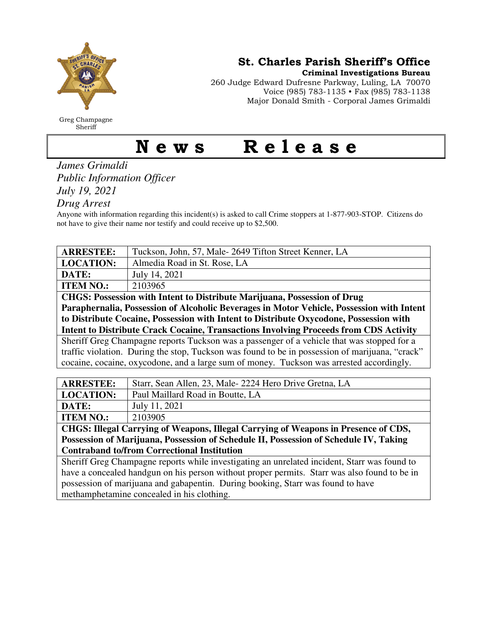

Greg Champagne Sheriff

St. Charles Parish Sheriff's Office

Criminal Investigations Bureau

260 Judge Edward Dufresne Parkway, Luling, LA 70070 Voice (985) 783-1135 • Fax (985) 783-1138 Major Donald Smith - Corporal James Grimaldi

## News Release

*James Grimaldi Public Information Officer July 19, 2021* 

*Drug Arrest* 

Anyone with information regarding this incident(s) is asked to call Crime stoppers at 1-877-903-STOP. Citizens do not have to give their name nor testify and could receive up to \$2,500.

| <b>ARRESTEE:</b>                                                                                | Tuckson, John, 57, Male-2649 Tifton Street Kenner, LA                                    |
|-------------------------------------------------------------------------------------------------|------------------------------------------------------------------------------------------|
| <b>LOCATION:</b>                                                                                | Almedia Road in St. Rose, LA                                                             |
| DATE:                                                                                           | July 14, 2021                                                                            |
| <b>ITEM NO.:</b>                                                                                | 2103965                                                                                  |
| <b>CHGS: Possession with Intent to Distribute Marijuana, Possession of Drug</b>                 |                                                                                          |
| Paraphernalia, Possession of Alcoholic Beverages in Motor Vehicle, Possession with Intent       |                                                                                          |
| to Distribute Cocaine, Possession with Intent to Distribute Oxycodone, Possession with          |                                                                                          |
| <b>Intent to Distribute Crack Cocaine, Transactions Involving Proceeds from CDS Activity</b>    |                                                                                          |
| Sheriff Greg Champagne reports Tuckson was a passenger of a vehicle that was stopped for a      |                                                                                          |
| traffic violation. During the stop, Tuckson was found to be in possession of marijuana, "crack" |                                                                                          |
|                                                                                                 | cocaine, cocaine, oxycodone, and a large sum of money. Tuckson was arrested accordingly. |
|                                                                                                 |                                                                                          |
| <b>ARRESTEE:</b>                                                                                | Starr, Sean Allen, 23, Male-2224 Hero Drive Gretna, LA                                   |
| <b>LOCATION:</b>                                                                                | Paul Maillard Road in Boutte, LA                                                         |
| DATE:                                                                                           | July 11, 2021                                                                            |
| <b>ITEM NO.:</b>                                                                                | 2103905                                                                                  |
| CHGS: Illegal Carrying of Weapons, Illegal Carrying of Weapons in Presence of CDS,              |                                                                                          |
| Possession of Marijuana, Possession of Schedule II, Possession of Schedule IV, Taking           |                                                                                          |
| <b>Contraband to/from Correctional Institution</b>                                              |                                                                                          |
| Sheriff Greg Champagne reports while investigating an unrelated incident, Starr was found to    |                                                                                          |
| have a concealed handgun on his person without proper permits. Starr was also found to be in    |                                                                                          |
| possession of marijuana and gabapentin. During booking, Starr was found to have                 |                                                                                          |

methamphetamine concealed in his clothing.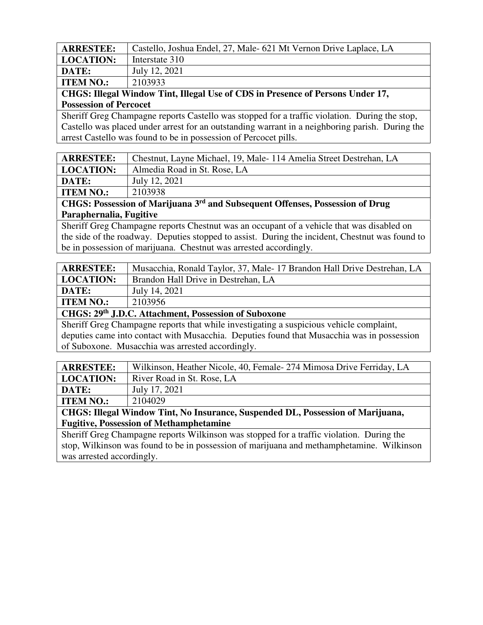| <b>ARRESTEE:</b> | Castello, Joshua Endel, 27, Male- 621 Mt Vernon Drive Laplace, LA |
|------------------|-------------------------------------------------------------------|
| <b>LOCATION:</b> | Interstate 310                                                    |
| DATE:            | July 12, 2021                                                     |
| <b>ITEM NO.:</b> | 2103933                                                           |

**CHGS: Illegal Window Tint, Illegal Use of CDS in Presence of Persons Under 17, Possession of Percocet** 

Sheriff Greg Champagne reports Castello was stopped for a traffic violation. During the stop, Castello was placed under arrest for an outstanding warrant in a neighboring parish. During the arrest Castello was found to be in possession of Percocet pills.

| <b>ARRESTEE:</b> | Chestnut, Layne Michael, 19, Male-114 Amelia Street Destrehan, LA       |
|------------------|-------------------------------------------------------------------------|
| LOCATION:        | Almedia Road in St. Rose, LA                                            |
| DATE:            | July 12, 2021                                                           |
| <b>ITEM NO.:</b> | 2103938                                                                 |
| $\alpha$ itaa n  | ard<br>0.75<br>$\cdots$<br>$\sim$ $\sim$ $\omega$<br>$\mathbf{A}$<br>∽. |

**CHGS: Possession of Marijuana 3rd and Subsequent Offenses, Possession of Drug Paraphernalia, Fugitive** 

Sheriff Greg Champagne reports Chestnut was an occupant of a vehicle that was disabled on the side of the roadway. Deputies stopped to assist. During the incident, Chestnut was found to be in possession of marijuana. Chestnut was arrested accordingly.

| <b>ARRESTEE:</b> | Musacchia, Ronald Taylor, 37, Male-17 Brandon Hall Drive Destrehan, LA |
|------------------|------------------------------------------------------------------------|
| <b>LOCATION:</b> | Brandon Hall Drive in Destrehan, LA                                    |
| DATE:            | July 14, 2021                                                          |
| <b>ITEM NO.:</b> | 2103956                                                                |
|                  |                                                                        |

**CHGS: 29th J.D.C. Attachment, Possession of Suboxone** 

Sheriff Greg Champagne reports that while investigating a suspicious vehicle complaint, deputies came into contact with Musacchia. Deputies found that Musacchia was in possession of Suboxone. Musacchia was arrested accordingly.

| <b>ARRESTEE:</b>                                                                | Wilkinson, Heather Nicole, 40, Female- 274 Mimosa Drive Ferriday, LA |
|---------------------------------------------------------------------------------|----------------------------------------------------------------------|
| <b>LOCATION:</b>                                                                | River Road in St. Rose, LA                                           |
| <b>DATE:</b>                                                                    | July 17, 2021                                                        |
| <b>ITEM NO.:</b>                                                                | 2104029                                                              |
| CHGS: Illegal Window Tint, No Insurance, Suspended DL, Possession of Marijuana, |                                                                      |

**Fugitive, Possession of Methamphetamine** 

Sheriff Greg Champagne reports Wilkinson was stopped for a traffic violation. During the stop, Wilkinson was found to be in possession of marijuana and methamphetamine. Wilkinson was arrested accordingly.